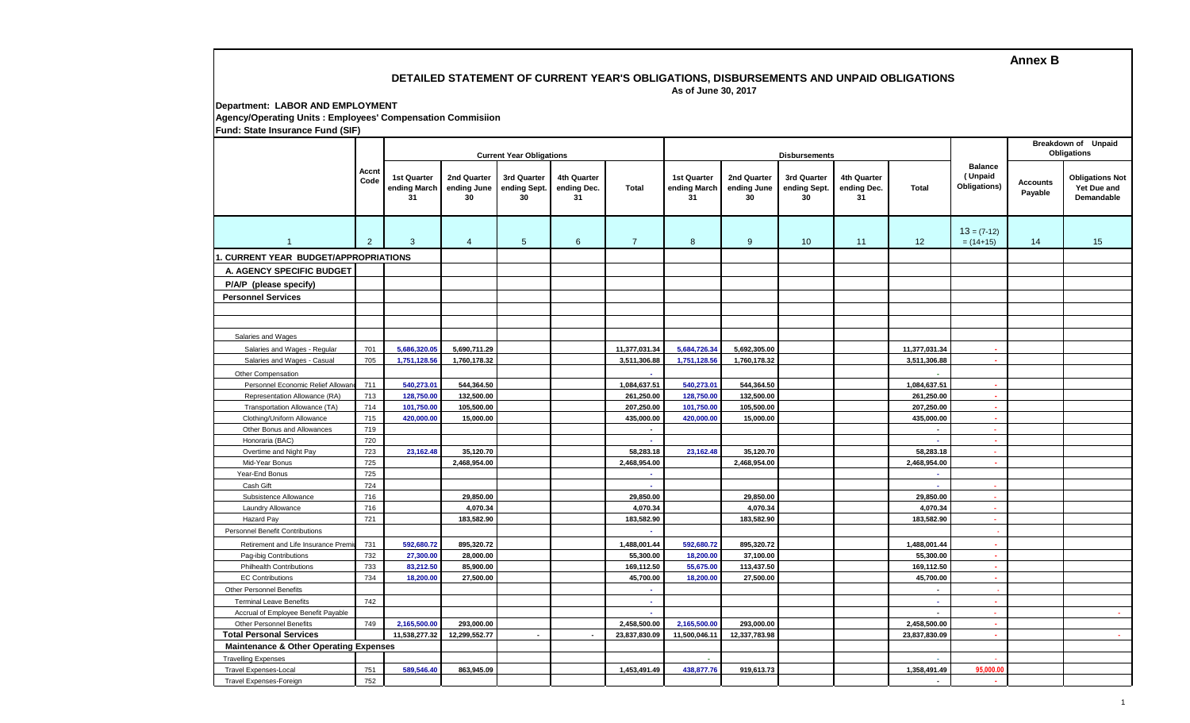**Annex B**

## **DETAILED STATEMENT OF CURRENT YEAR'S OBLIGATIONS, DISBURSEMENTS AND UNPAID OBLIGATIONS As of June 30, 2017**

**Department: LABOR AND EMPLOYMENT Agency/Operating Units : Employees' Compensation Commisiion Fund: State Insurance Fund (SIF)**

|                                                                | Accnt<br>Code  |                                   |                                  | <b>Current Year Obligations</b>   |                                  |                               |                                   |                                  | <b>Disbursements</b>              |                                  | Breakdown of Unpaid<br>Obligations |                                           |                            |                                                     |
|----------------------------------------------------------------|----------------|-----------------------------------|----------------------------------|-----------------------------------|----------------------------------|-------------------------------|-----------------------------------|----------------------------------|-----------------------------------|----------------------------------|------------------------------------|-------------------------------------------|----------------------------|-----------------------------------------------------|
|                                                                |                | 1st Quarter<br>ending March<br>31 | 2nd Quarter<br>ending June<br>30 | 3rd Quarter<br>ending Sept.<br>30 | 4th Quarter<br>ending Dec.<br>31 | Total                         | 1st Quarter<br>ending March<br>31 | 2nd Quarter<br>ending June<br>30 | 3rd Quarter<br>ending Sept.<br>30 | 4th Quarter<br>ending Dec.<br>31 | <b>Total</b>                       | <b>Balance</b><br>(Unpaid<br>Obligations) | <b>Accounts</b><br>Payable | <b>Obligations Not</b><br>Yet Due and<br>Demandable |
| $\overline{1}$                                                 | $\overline{2}$ | $\mathbf{3}$                      | $\overline{4}$                   | $5\phantom{.0}$                   | $6\phantom{.}6$                  | $\overline{7}$                | 8                                 | 9                                | 10                                | 11                               | 12                                 | $13 = (7-12)$<br>$= (14+15)$              | 14                         | 15 <sub>15</sub>                                    |
| <b>CURRENT YEAR BUDGET/APPROPRIATIONS</b>                      |                |                                   |                                  |                                   |                                  |                               |                                   |                                  |                                   |                                  |                                    |                                           |                            |                                                     |
| A. AGENCY SPECIFIC BUDGET                                      |                |                                   |                                  |                                   |                                  |                               |                                   |                                  |                                   |                                  |                                    |                                           |                            |                                                     |
| P/A/P (please specify)                                         |                |                                   |                                  |                                   |                                  |                               |                                   |                                  |                                   |                                  |                                    |                                           |                            |                                                     |
| <b>Personnel Services</b>                                      |                |                                   |                                  |                                   |                                  |                               |                                   |                                  |                                   |                                  |                                    |                                           |                            |                                                     |
|                                                                |                |                                   |                                  |                                   |                                  |                               |                                   |                                  |                                   |                                  |                                    |                                           |                            |                                                     |
|                                                                |                |                                   |                                  |                                   |                                  |                               |                                   |                                  |                                   |                                  |                                    |                                           |                            |                                                     |
|                                                                |                |                                   |                                  |                                   |                                  |                               |                                   |                                  |                                   |                                  |                                    |                                           |                            |                                                     |
| Salaries and Wages                                             |                |                                   |                                  |                                   |                                  |                               |                                   |                                  |                                   |                                  |                                    |                                           |                            |                                                     |
| Salaries and Wages - Regular<br>Salaries and Wages - Casual    | 701<br>705     | 5,686,320.05<br>1,751,128.56      | 5,690,711.29<br>1,760,178.32     |                                   |                                  | 11,377,031.34<br>3,511,306.88 | 5,684,726.34<br>1,751,128.56      | 5,692,305.00<br>1,760,178.32     |                                   |                                  | 11,377,031.34<br>3,511,306.88      | х.                                        |                            |                                                     |
|                                                                |                |                                   |                                  |                                   |                                  |                               |                                   |                                  |                                   |                                  |                                    |                                           |                            |                                                     |
| <b>Other Compensation</b><br>Personnel Economic Relief Allowar | 711            | 540,273.01                        | 544,364.50                       |                                   |                                  | 1,084,637.51                  | 540,273.01                        | 544,364.50                       |                                   |                                  | 1,084,637.51                       | ×.                                        |                            |                                                     |
| Representation Allowance (RA)                                  | 713            | 128,750.00                        | 132,500.00                       |                                   |                                  | 261,250.00                    | 128,750.00                        | 132,500.00                       |                                   |                                  | 261,250.00                         | A.                                        |                            |                                                     |
| Transportation Allowance (TA)                                  | 714            | 101,750.00                        | 105,500.00                       |                                   |                                  | 207,250.00                    | 101,750.00                        | 105,500.00                       |                                   |                                  | 207,250.00                         | . н.                                      |                            |                                                     |
| Clothing/Uniform Allowance                                     | 715            | 420,000.00                        | 15,000.00                        |                                   |                                  | 435,000.00                    | 420,000.00                        | 15,000.00                        |                                   |                                  | 435,000.00                         | A.                                        |                            |                                                     |
| Other Bonus and Allowances                                     | 719            |                                   |                                  |                                   |                                  | $\overline{\phantom{a}}$      |                                   |                                  |                                   |                                  | $\sim$                             |                                           |                            |                                                     |
| Honoraria (BAC)                                                | 720            |                                   |                                  |                                   |                                  | $\sim$                        |                                   |                                  |                                   |                                  | $\sim$                             | . .                                       |                            |                                                     |
| Overtime and Night Pay                                         | 723            | 23,162.48                         | 35,120.70                        |                                   |                                  | 58,283.18                     | 23,162.48                         | 35,120.70                        |                                   |                                  | 58,283.18                          | a.                                        |                            |                                                     |
| Mid-Year Bonus                                                 | 725            |                                   | 2,468,954.00                     |                                   |                                  | 2,468,954.00                  |                                   | 2,468,954.00                     |                                   |                                  | 2,468,954.00                       | $\sim$                                    |                            |                                                     |
| Year-End Bonus                                                 | 725            |                                   |                                  |                                   |                                  | ×.                            |                                   |                                  |                                   |                                  | ×                                  |                                           |                            |                                                     |
| Cash Gift                                                      | 724            |                                   |                                  |                                   |                                  | $\mathcal{L}$                 |                                   |                                  |                                   |                                  | $\sim$                             | $\sim$                                    |                            |                                                     |
| Subsistence Allowance                                          | 716            |                                   | 29,850.00                        |                                   |                                  | 29,850.00                     |                                   | 29,850.00                        |                                   |                                  | 29,850.00                          |                                           |                            |                                                     |
| Laundry Allowance                                              | 716            |                                   | 4,070.34                         |                                   |                                  | 4,070.34                      |                                   | 4,070.34                         |                                   |                                  | 4,070.34                           | $\sim$                                    |                            |                                                     |
| Hazard Pay                                                     | 721            |                                   | 183,582.90                       |                                   |                                  | 183,582.90                    |                                   | 183,582.90                       |                                   |                                  | 183,582.90                         | $\sim$                                    |                            |                                                     |
| <b>Personnel Benefit Contributions</b>                         |                |                                   |                                  |                                   |                                  |                               |                                   |                                  |                                   |                                  |                                    |                                           |                            |                                                     |
| Retirement and Life Insurance Premi                            | 731            | 592.680.72                        | 895.320.72                       |                                   |                                  | 1,488,001.44                  | 592.680.72                        | 895.320.72                       |                                   |                                  | 1,488,001.44                       | ×.                                        |                            |                                                     |
| Pag-ibig Contributions                                         | 732            | 27,300.00                         | 28.000.00                        |                                   |                                  | 55,300.00                     | 18,200.00                         | 37,100.00                        |                                   |                                  | 55,300.00                          | $\sim$                                    |                            |                                                     |
| <b>Philhealth Contributions</b>                                | 733            | 83,212.50                         | 85.900.00                        |                                   |                                  | 169,112.50                    | 55,675.00                         | 113,437.50                       |                                   |                                  | 169,112.50                         | $\sim$                                    |                            |                                                     |
| <b>EC Contributions</b>                                        | 734            | 18,200.00                         | 27,500.00                        |                                   |                                  | 45,700.00                     | 18,200.00                         | 27,500.00                        |                                   |                                  | 45,700.00                          | ×.                                        |                            |                                                     |
| <b>Other Personnel Benefits</b>                                |                |                                   |                                  |                                   |                                  | $\sim$                        |                                   |                                  |                                   |                                  | $\overline{a}$                     | ٠.                                        |                            |                                                     |
| <b>Terminal Leave Benefits</b>                                 | 742            |                                   |                                  |                                   |                                  | $\sim$                        |                                   |                                  |                                   |                                  | A.                                 | $\sim$                                    |                            |                                                     |
| Accrual of Employee Benefit Payable                            |                |                                   |                                  |                                   |                                  |                               |                                   |                                  |                                   |                                  |                                    | $\sim$                                    |                            |                                                     |
| Other Personnel Benefits                                       | 749            | 2,165,500.00                      | 293,000.00                       |                                   |                                  | 2,458,500.00                  | 2,165,500.00                      | 293,000.00                       |                                   |                                  | 2,458,500.00                       | $\sim$                                    |                            |                                                     |
| <b>Total Personal Services</b>                                 |                | 11,538,277.32                     | 12,299,552.77                    | $\blacksquare$                    |                                  | 23,837,830.09                 | 11,500,046.11                     | 12,337,783.98                    |                                   |                                  | 23,837,830.09                      | A.                                        |                            | $\sim$                                              |
| <b>Maintenance &amp; Other Operating Expenses</b>              |                |                                   |                                  |                                   |                                  |                               |                                   |                                  |                                   |                                  |                                    |                                           |                            |                                                     |
| <b>Travelling Expenses</b>                                     |                |                                   |                                  |                                   |                                  |                               | $\sim$                            |                                  |                                   |                                  |                                    |                                           |                            |                                                     |
| <b>Travel Expenses-Local</b>                                   | 751            | 589,546.40                        | 863,945.09                       |                                   |                                  | 1,453,491.49                  | 438,877.76                        | 919,613.73                       |                                   |                                  | 1,358,491.49                       | 95,000.00                                 |                            |                                                     |
| Travel Expenses-Foreign                                        | 752            |                                   |                                  |                                   |                                  |                               |                                   |                                  |                                   |                                  | $\overline{\phantom{a}}$           | ×.                                        |                            |                                                     |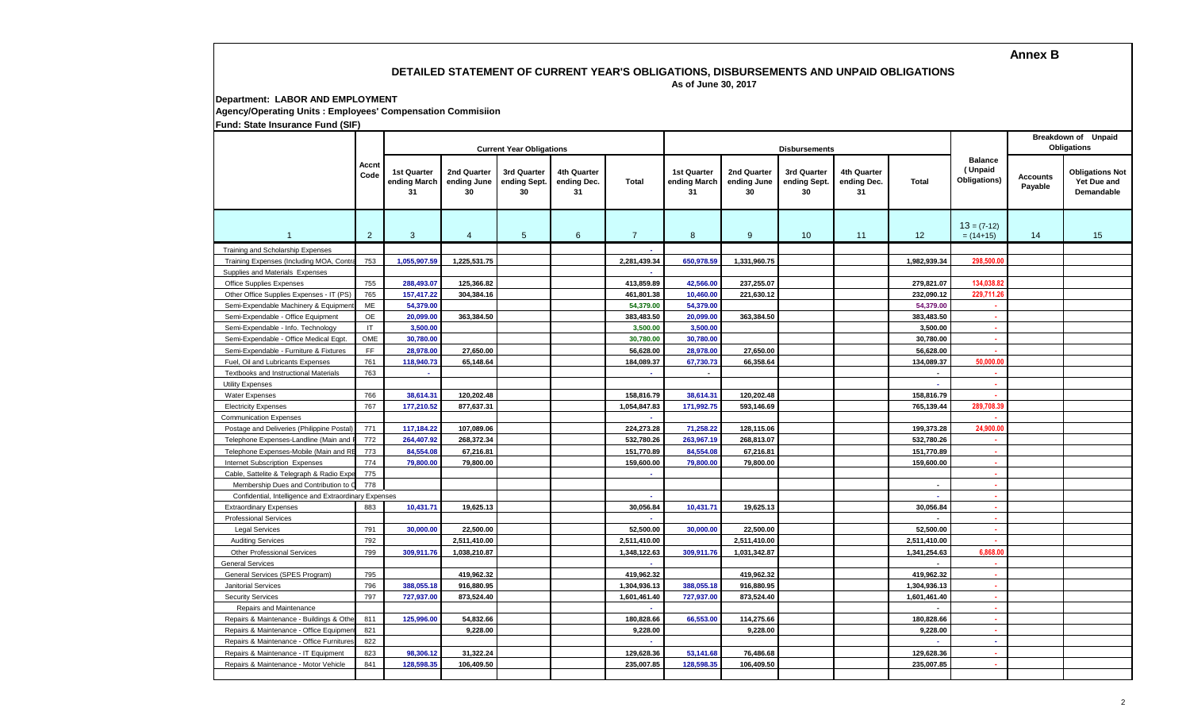## **Annex B**

## **DETAILED STATEMENT OF CURRENT YEAR'S OBLIGATIONS, DISBURSEMENTS AND UNPAID OBLIGATIONS**

 **As of June 30, 2017**

**Department: LABOR AND EMPLOYMENT**

**Agency/Operating Units : Employees' Compensation Commisiion**

**Fund: State Insurance Fund (SIF)**

|                                                       | Accnt<br>Code  |                                   | <b>Current Year Obligations</b>  |                                   |                                  |                | <b>Disbursements</b>              |                                  | <b>Breakdown of Unpaid</b><br><b>Obligations</b> |                                  |                |                                           |                     |                                                            |
|-------------------------------------------------------|----------------|-----------------------------------|----------------------------------|-----------------------------------|----------------------------------|----------------|-----------------------------------|----------------------------------|--------------------------------------------------|----------------------------------|----------------|-------------------------------------------|---------------------|------------------------------------------------------------|
|                                                       |                | 1st Quarter<br>ending March<br>31 | 2nd Quarter<br>ending June<br>30 | 3rd Quarter<br>ending Sept.<br>30 | 4th Quarter<br>ending Dec.<br>31 | <b>Total</b>   | 1st Quarter<br>ending March<br>31 | 2nd Quarter<br>ending June<br>30 | 3rd Quarter<br>ending Sept.<br>30                | 4th Quarter<br>ending Dec.<br>31 | <b>Total</b>   | <b>Balance</b><br>(Unpaid<br>Obligations) | Accounts<br>Payable | <b>Obligations Not</b><br>Yet Due and<br><b>Demandable</b> |
| $\overline{1}$                                        | $\overline{2}$ | $\mathbf{3}$                      | 4                                | $5\overline{)}$                   | 6                                | $\overline{7}$ | 8                                 | 9                                | 10 <sup>°</sup>                                  | 11                               | 12             | $13 = (7-12)$<br>$= (14+15)$              | 14                  | 15                                                         |
| Training and Scholarship Expenses                     |                |                                   |                                  |                                   |                                  |                |                                   |                                  |                                                  |                                  |                |                                           |                     |                                                            |
| Training Expenses (Including MOA, Contra              | 753            | 1,055,907.59                      | 1,225,531.75                     |                                   |                                  | 2,281,439.34   | 650,978.59                        | 1,331,960.75                     |                                                  |                                  | 1,982,939.34   | 298,500.0                                 |                     |                                                            |
| Supplies and Materials Expenses                       |                |                                   |                                  |                                   |                                  |                |                                   |                                  |                                                  |                                  |                |                                           |                     |                                                            |
| <b>Office Supplies Expenses</b>                       | 755            | 288,493.07                        | 125,366.82                       |                                   |                                  | 413,859.89     | 42.566.00                         | 237,255.07                       |                                                  |                                  | 279.821.07     | 134.038.8                                 |                     |                                                            |
| Other Office Supplies Expenses - IT (PS)              | 765            | 157,417.22                        | 304,384.16                       |                                   |                                  | 461,801.38     | 10.460.00                         | 221,630.12                       |                                                  |                                  | 232,090.12     | 229,711.2                                 |                     |                                                            |
| Semi-Expendable Machinery & Equipment                 | ME             | 54,379.00                         |                                  |                                   |                                  | 54,379.00      | 54,379.00                         |                                  |                                                  |                                  | 54.379.00      |                                           |                     |                                                            |
| Semi-Expendable - Office Equipment                    | OE             | 20,099.00                         | 363,384.50                       |                                   |                                  | 383,483.50     | 20,099.00                         | 363,384.50                       |                                                  |                                  | 383,483.50     | $\overline{\phantom{a}}$                  |                     |                                                            |
| Semi-Expendable - Info. Technology                    | IT.            | 3,500.00                          |                                  |                                   |                                  | 3,500.00       | 3.500.00                          |                                  |                                                  |                                  | 3,500.00       |                                           |                     |                                                            |
| Semi-Expendable - Office Medical Eqpt.                | OME            | 30,780.00                         |                                  |                                   |                                  | 30,780.00      | 30,780.00                         |                                  |                                                  |                                  | 30.780.00      | ×.                                        |                     |                                                            |
| Semi-Expendable - Furniture & Fixtures                | FF.            | 28,978.00                         | 27,650.00                        |                                   |                                  | 56,628.00      | 28,978.00                         | 27,650.00                        |                                                  |                                  | 56,628.00      |                                           |                     |                                                            |
| Fuel, Oil and Lubricants Expenses                     | 761            | 118,940.73                        | 65,148.64                        |                                   |                                  | 184,089.37     | 67,730.73                         | 66,358.64                        |                                                  |                                  | 134,089.37     | 50,000.00                                 |                     |                                                            |
| Textbooks and Instructional Materials                 | 763            |                                   |                                  |                                   |                                  |                | $\overline{\phantom{a}}$          |                                  |                                                  |                                  |                |                                           |                     |                                                            |
| Utility Expenses                                      |                |                                   |                                  |                                   |                                  |                |                                   |                                  |                                                  |                                  | ÷.             | $\sim$                                    |                     |                                                            |
| <b>Water Expenses</b>                                 | 766            | 38,614.31                         | 120,202.48                       |                                   |                                  | 158,816.79     | 38,614.31                         | 120,202.48                       |                                                  |                                  | 158,816.79     |                                           |                     |                                                            |
| <b>Electricity Expenses</b>                           | 767            | 177,210.52                        | 877,637.31                       |                                   |                                  | 1,054,847.83   | 171,992.75                        | 593,146.69                       |                                                  |                                  | 765,139.44     | 289,708.39                                |                     |                                                            |
| <b>Communication Expenses</b>                         |                |                                   |                                  |                                   |                                  | $\sim$         |                                   |                                  |                                                  |                                  |                |                                           |                     |                                                            |
| Postage and Deliveries (Philippine Postal)            | 771            | 117,184.22                        | 107.089.06                       |                                   |                                  | 224,273.28     | 71,258.22                         | 128,115.06                       |                                                  |                                  | 199,373.28     | 24,900.00                                 |                     |                                                            |
| Telephone Expenses-Landline (Main and                 | 772            | 264,407.92                        | 268,372.34                       |                                   |                                  | 532,780.26     | 263,967.19                        | 268,813.07                       |                                                  |                                  | 532,780.26     |                                           |                     |                                                            |
| Telephone Expenses-Mobile (Main and RE                | 773            | 84,554.08                         | 67,216.81                        |                                   |                                  | 151,770.89     | 84,554.08                         | 67,216.81                        |                                                  |                                  | 151,770.89     | o.                                        |                     |                                                            |
| Internet Subscription Expenses                        | 774            | 79,800.00                         | 79,800.00                        |                                   |                                  | 159,600.00     | 79,800.00                         | 79,800.00                        |                                                  |                                  | 159,600.00     | $\sim$                                    |                     |                                                            |
| Cable, Sattelite & Telegraph & Radio Exp              | 775            |                                   |                                  |                                   |                                  | $\sim$         |                                   |                                  |                                                  |                                  |                | $\sim$                                    |                     |                                                            |
| Membership Dues and Contribution to                   | 778            |                                   |                                  |                                   |                                  |                |                                   |                                  |                                                  |                                  | $\overline{a}$ | $\overline{\phantom{a}}$                  |                     |                                                            |
| Confidential, Intelligence and Extraordinary Expenses |                |                                   |                                  |                                   |                                  | $\sim$         |                                   |                                  |                                                  |                                  | ×.             | $\sim$                                    |                     |                                                            |
| <b>Extraordinary Expenses</b>                         | 883            | 10,431.71                         | 19,625.13                        |                                   |                                  | 30,056.84      | 10,431.71                         | 19,625.13                        |                                                  |                                  | 30,056.84      | $\mathbf{r}$                              |                     |                                                            |
| <b>Professional Services</b>                          |                |                                   |                                  |                                   |                                  |                |                                   |                                  |                                                  |                                  |                | $\sim$                                    |                     |                                                            |
| <b>Legal Services</b>                                 | 791            | 30,000.00                         | 22,500.00                        |                                   |                                  | 52,500.00      | 30,000.00                         | 22,500.00                        |                                                  |                                  | 52,500.00      | $\sim$                                    |                     |                                                            |
| <b>Auditing Services</b>                              | 792            |                                   | 2,511,410.00                     |                                   |                                  | 2,511,410.00   |                                   | 2,511,410.00                     |                                                  |                                  | 2,511,410.00   |                                           |                     |                                                            |
| <b>Other Professional Services</b>                    | 799            | 309,911.76                        | 1,038,210.87                     |                                   |                                  | 1,348,122.63   | 309,911.76                        | 1,031,342.87                     |                                                  |                                  | 1,341,254.63   | 6,868.00                                  |                     |                                                            |
| <b>General Services</b>                               |                |                                   |                                  |                                   |                                  |                |                                   |                                  |                                                  |                                  |                |                                           |                     |                                                            |
| General Services (SPES Program)                       | 795            |                                   | 419,962.32                       |                                   |                                  | 419.962.32     |                                   | 419.962.32                       |                                                  |                                  | 419.962.32     | $\sim$                                    |                     |                                                            |
| <b>Janitorial Services</b>                            | 796            | 388,055.18                        | 916,880.95                       |                                   |                                  | 1,304,936.13   | 388.055.18                        | 916,880.95                       |                                                  |                                  | 1,304,936.13   |                                           |                     |                                                            |
| <b>Security Services</b>                              | 797            | 727,937.00                        | 873,524.40                       |                                   |                                  | 1,601,461.40   | 727,937.00                        | 873,524.40                       |                                                  |                                  | 1,601,461.40   | $\mathbf{r}$                              |                     |                                                            |
| Repairs and Maintenance                               |                |                                   |                                  |                                   |                                  |                |                                   |                                  |                                                  |                                  |                |                                           |                     |                                                            |
| Repairs & Maintenance - Buildings & Oth               | 811            | 125,996.00                        | 54,832.66                        |                                   |                                  | 180,828.66     | 66,553.00                         | 114,275.66                       |                                                  |                                  | 180,828.66     | $\sim$                                    |                     |                                                            |
| Repairs & Maintenance - Office Equipmen               | 821            |                                   | 9,228.00                         |                                   |                                  | 9,228.00       |                                   | 9,228.00                         |                                                  |                                  | 9,228.00       | . .                                       |                     |                                                            |
| Repairs & Maintenance - Office Furnitures             | 822            |                                   |                                  |                                   |                                  | ×.             |                                   |                                  |                                                  |                                  |                | a.                                        |                     |                                                            |
| Repairs & Maintenance - IT Equipment                  | 823            | 98,306.12                         | 31,322.24                        |                                   |                                  | 129,628.36     | 53,141.68                         | 76,486.68                        |                                                  |                                  | 129,628.36     | . .                                       |                     |                                                            |
| Repairs & Maintenance - Motor Vehicle                 | 841            | 128,598.35                        | 106,409.50                       |                                   |                                  | 235,007.85     | 128,598.35                        | 106,409.50                       |                                                  |                                  | 235,007.85     | <b>.</b>                                  |                     |                                                            |
|                                                       |                |                                   |                                  |                                   |                                  |                |                                   |                                  |                                                  |                                  |                |                                           |                     |                                                            |